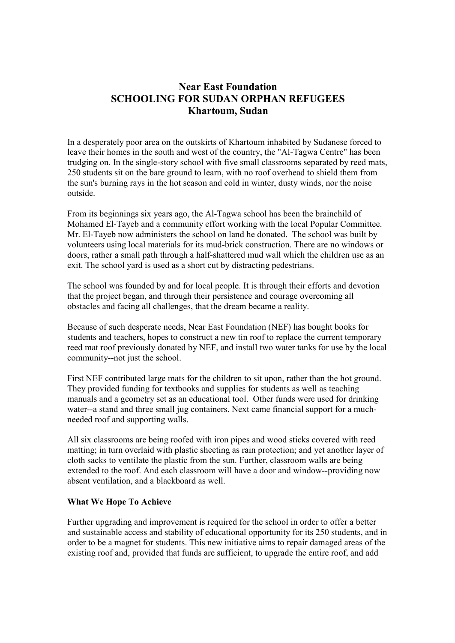# **Near East Foundation SCHOOLING FOR SUDAN ORPHAN REFUGEES Khartoum, Sudan**

In a desperately poor area on the outskirts of Khartoum inhabited by Sudanese forced to leave their homes in the south and west of the country, the "Al-Tagwa Centre" has been trudging on. In the single-story school with five small classrooms separated by reed mats, 250 students sit on the bare ground to learn, with no roof overhead to shield them from the sun's burning rays in the hot season and cold in winter, dusty winds, nor the noise outside.

From its beginnings six years ago, the Al-Tagwa school has been the brainchild of Mohamed El-Tayeb and a community effort working with the local Popular Committee. Mr. El-Tayeb now administers the school on land he donated. The school was built by volunteers using local materials for its mud-brick construction. There are no windows or doors, rather a small path through a half-shattered mud wall which the children use as an exit. The school yard is used as a short cut by distracting pedestrians.

The school was founded by and for local people. It is through their efforts and devotion that the project began, and through their persistence and courage overcoming all obstacles and facing all challenges, that the dream became a reality.

Because of such desperate needs, Near East Foundation (NEF) has bought books for students and teachers, hopes to construct a new tin roof to replace the current temporary reed mat roof previously donated by NEF, and install two water tanks for use by the local community--not just the school.

First NEF contributed large mats for the children to sit upon, rather than the hot ground. They provided funding for textbooks and supplies for students as well as teaching manuals and a geometry set as an educational tool. Other funds were used for drinking water--a stand and three small jug containers. Next came financial support for a muchneeded roof and supporting walls.

All six classrooms are being roofed with iron pipes and wood sticks covered with reed matting; in turn overlaid with plastic sheeting as rain protection; and yet another layer of cloth sacks to ventilate the plastic from the sun. Further, classroom walls are being extended to the roof. And each classroom will have a door and window--providing now absent ventilation, and a blackboard as well.

#### **What We Hope To Achieve**

Further upgrading and improvement is required for the school in order to offer a better and sustainable access and stability of educational opportunity for its 250 students, and in order to be a magnet for students. This new initiative aims to repair damaged areas of the existing roof and, provided that funds are sufficient, to upgrade the entire roof, and add